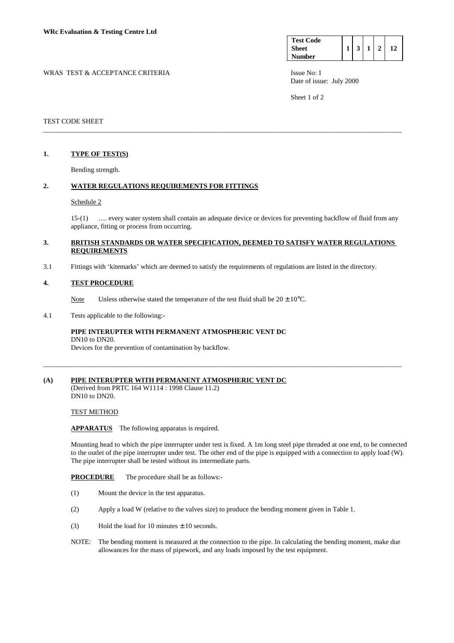| <b>Test Code</b> |  |  |  |
|------------------|--|--|--|
| <b>Sheet</b>     |  |  |  |
| <b>Number</b>    |  |  |  |

WRAS TEST & ACCEPTANCE CRITERIA ISSUE No: 1 Date of issue: July 2000

Sheet 1 of 2

## TEST CODE SHEET

## **1. TYPE OF TEST(S)**

Bending strength.

## **2. WATER REGULATIONS REQUIREMENTS FOR FITTINGS**

#### Schedule 2

 15-(1) …. every water system shall contain an adequate device or devices for preventing backflow of fluid from any appliance, fitting or process from occurring.

## **3. BRITISH STANDARDS OR WATER SPECIFICATION, DEEMED TO SATISFY WATER REGULATIONS REQUIREMENTS**

\_\_\_\_\_\_\_\_\_\_\_\_\_\_\_\_\_\_\_\_\_\_\_\_\_\_\_\_\_\_\_\_\_\_\_\_\_\_\_\_\_\_\_\_\_\_\_\_\_\_\_\_\_\_\_\_\_\_\_\_\_\_\_\_\_\_\_\_\_\_\_\_\_\_\_\_\_\_\_\_\_\_\_\_\_\_\_\_\_\_\_\_\_\_\_\_\_\_\_\_\_\_\_

\_\_\_\_\_\_\_\_\_\_\_\_\_\_\_\_\_\_\_\_\_\_\_\_\_\_\_\_\_\_\_\_\_\_\_\_\_\_\_\_\_\_\_\_\_\_\_\_\_\_\_\_\_\_\_\_\_\_\_\_\_\_\_\_\_\_\_\_\_\_\_\_\_\_\_\_\_\_\_\_\_\_\_\_\_\_\_\_\_\_\_\_\_\_\_\_\_\_\_\_\_\_\_

3.1 Fittings with 'kitemarks' which are deemed to satisfy the requirements of regulations are listed in the directory.

## **4. TEST PROCEDURE**

Note Unless otherwise stated the temperature of the test fluid shall be  $20 \pm 10^{\circ}$ C.

#### 4.1 Tests applicable to the following:-

#### **PIPE INTERUPTER WITH PERMANENT ATMOSPHERIC VENT DC**  DN10 to DN20.

Devices for the prevention of contamination by backflow.

#### **(A) PIPE INTERUPTER WITH PERMANENT ATMOSPHERIC VENT DC**  (Derived from PRTC 164 W1114 : 1998 Clause 11.2) DN10 to DN20.

TEST METHOD

**APPARATUS** The following apparatus is required.

Mounting head to which the pipe interrupter under test is fixed. A 1m long steel pipe threaded at one end, to be connected to the outlet of the pipe interrupter under test. The other end of the pipe is equipped with a connection to apply load (W). The pipe interrupter shall be tested without its intermediate parts.

#### **PROCEDURE** The procedure shall be as follows:-

- (1) Mount the device in the test apparatus.
- (2) Apply a load W (relative to the valves size) to produce the bending moment given in Table 1.
- (3) Hold the load for 10 minutes  $\pm$  10 seconds.
- NOTE: The bending moment is measured at the connection to the pipe. In calculating the bending moment, make due allowances for the mass of pipework, and any loads imposed by the test equipment.